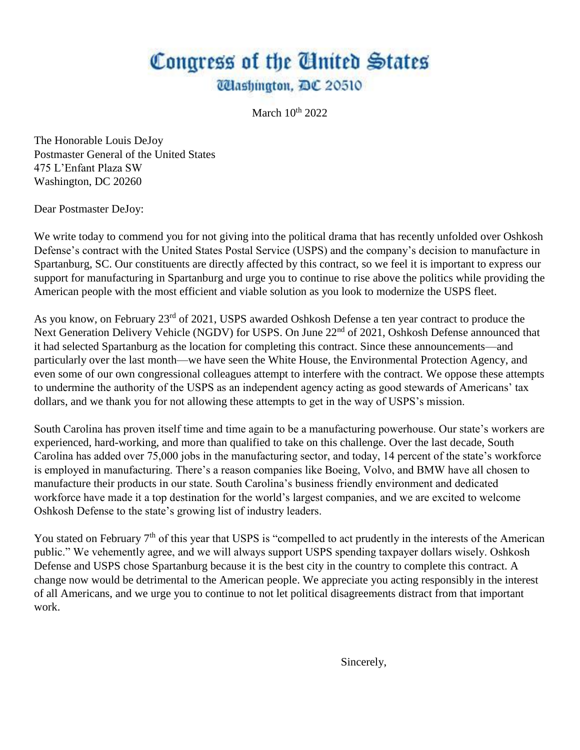## Congress of the United States *Ulashington, DC 20510*

March  $10^{th}$  2022

The Honorable Louis DeJoy Postmaster General of the United States 475 L'Enfant Plaza SW Washington, DC 20260

Dear Postmaster DeJoy:

We write today to commend you for not giving into the political drama that has recently unfolded over Oshkosh Defense's contract with the United States Postal Service (USPS) and the company's decision to manufacture in Spartanburg, SC. Our constituents are directly affected by this contract, so we feel it is important to express our support for manufacturing in Spartanburg and urge you to continue to rise above the politics while providing the American people with the most efficient and viable solution as you look to modernize the USPS fleet.

As you know, on February 23<sup>rd</sup> of 2021, USPS awarded Oshkosh Defense a ten year contract to produce the Next Generation Delivery Vehicle (NGDV) for USPS. On June 22<sup>nd</sup> of 2021, Oshkosh Defense announced that it had selected Spartanburg as the location for completing this contract. Since these announcements—and particularly over the last month—we have seen the White House, the Environmental Protection Agency, and even some of our own congressional colleagues attempt to interfere with the contract. We oppose these attempts to undermine the authority of the USPS as an independent agency acting as good stewards of Americans' tax dollars, and we thank you for not allowing these attempts to get in the way of USPS's mission.

South Carolina has proven itself time and time again to be a manufacturing powerhouse. Our state's workers are experienced, hard-working, and more than qualified to take on this challenge. Over the last decade, South Carolina has added over 75,000 jobs in the manufacturing sector, and today, 14 percent of the state's workforce is employed in manufacturing. There's a reason companies like Boeing, Volvo, and BMW have all chosen to manufacture their products in our state. South Carolina's business friendly environment and dedicated workforce have made it a top destination for the world's largest companies, and we are excited to welcome Oshkosh Defense to the state's growing list of industry leaders.

You stated on February 7<sup>th</sup> of this year that USPS is "compelled to act prudently in the interests of the American public." We vehemently agree, and we will always support USPS spending taxpayer dollars wisely. Oshkosh Defense and USPS chose Spartanburg because it is the best city in the country to complete this contract. A change now would be detrimental to the American people. We appreciate you acting responsibly in the interest of all Americans, and we urge you to continue to not let political disagreements distract from that important work.

Sincerely,